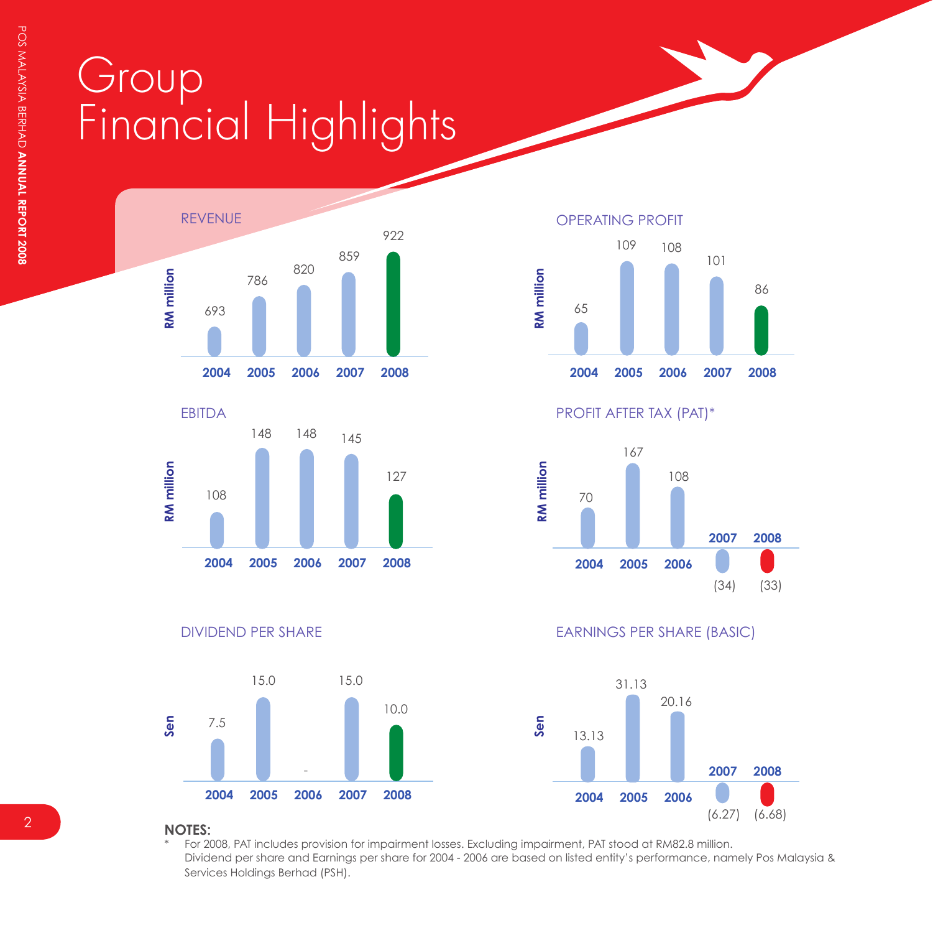## Group Financial Highlights











PROFIT AFTER TAX (PAT)\*



DIVIDEND PER SHARE EARNINGS PER SHARE (BASIC)



**NOTES:**

For 2008, PAT includes provision for impairment losses. Excluding impairment, PAT stood at RM82.8 million. Dividend per share and Earnings per share for 2004 - 2006 are based on listed entity's performance, namely Pos Malaysia & Services Holdings Berhad (PSH).